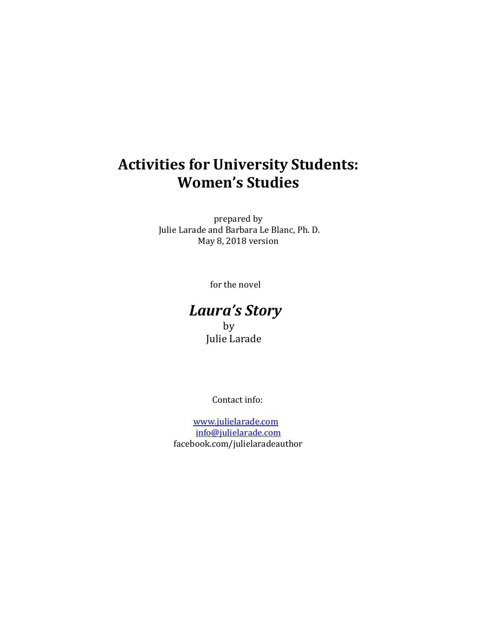# **Activities for University Students: Women's Studies**

prepared by Julie Larade and Barbara Le Blanc, Ph. D. May 8, 2018 version

for the novel

### *Laura's Story* by Julie Larade

Contact info:

 [www.julielarade.com](http://www.julielarade.com/) [info@julielarade.com](mailto:info@julielarade.com) facebook.com/julielaradeauthor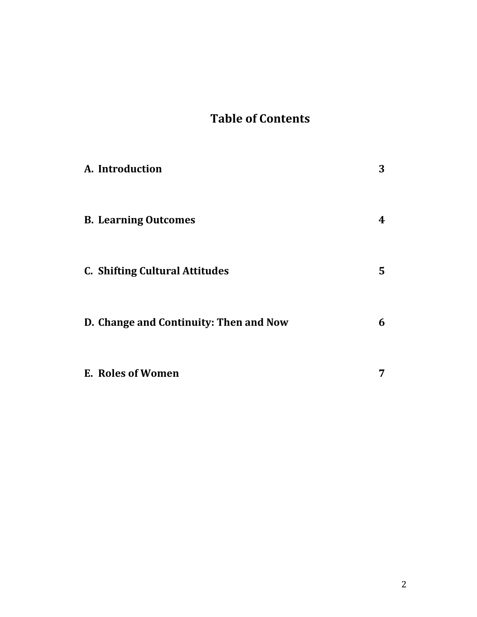# **Table of Contents**

| A. Introduction                        | 3  |
|----------------------------------------|----|
| <b>B. Learning Outcomes</b>            | 4  |
| <b>C. Shifting Cultural Attitudes</b>  | 5. |
| D. Change and Continuity: Then and Now | 6  |
| E. Roles of Women                      |    |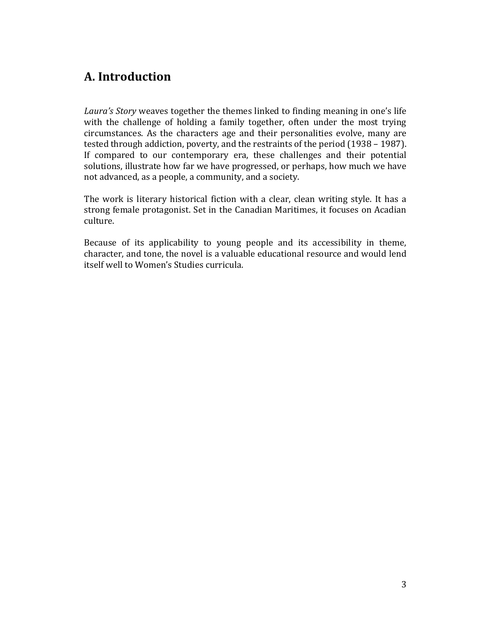### **A. Introduction**

*Laura's Story* weaves together the themes linked to finding meaning in one's life with the challenge of holding a family together, often under the most trying circumstances. As the characters age and their personalities evolve, many are tested through addiction, poverty, and the restraints of the period (1938 – 1987). If compared to our contemporary era, these challenges and their potential solutions, illustrate how far we have progressed, or perhaps, how much we have not advanced, as a people, a community, and a society.

The work is literary historical fiction with a clear, clean writing style. It has a strong female protagonist. Set in the Canadian Maritimes, it focuses on Acadian culture.

Because of its applicability to young people and its accessibility in theme, character, and tone, the novel is a valuable educational resource and would lend itself well to Women's Studies curricula.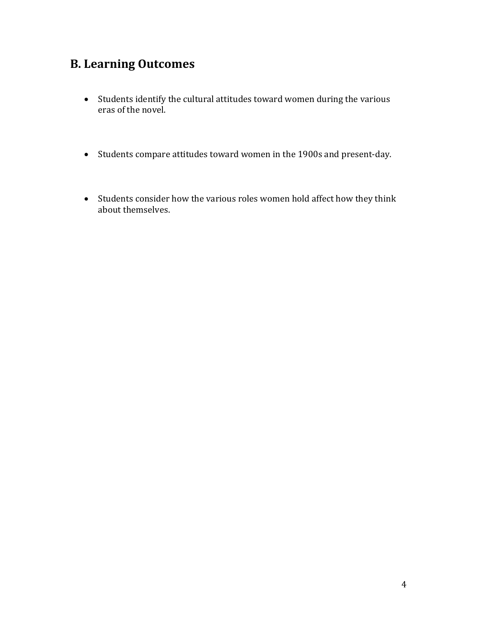## **B. Learning Outcomes**

- Students identify the cultural attitudes toward women during the various eras of the novel.
- Students compare attitudes toward women in the 1900s and present-day.
- Students consider how the various roles women hold affect how they think about themselves.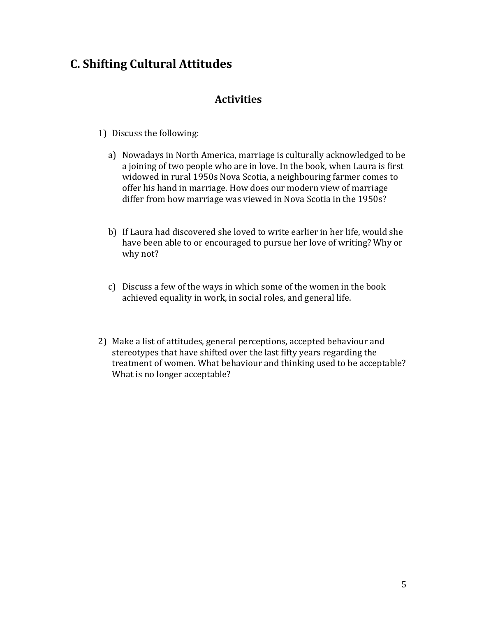## **C. Shifting Cultural Attitudes**

#### **Activities**

- 1) Discuss the following:
	- a) Nowadays in North America, marriage is culturally acknowledged to be a joining of two people who are in love. In the book, when Laura is first widowed in rural 1950s Nova Scotia, a neighbouring farmer comes to offer his hand in marriage. How does our modern view of marriage differ from how marriage was viewed in Nova Scotia in the 1950s?
	- b) If Laura had discovered she loved to write earlier in her life, would she have been able to or encouraged to pursue her love of writing? Why or why not?
	- c) Discuss a few of the ways in which some of the women in the book achieved equality in work, in social roles, and general life.
- 2) Make a list of attitudes, general perceptions, accepted behaviour and stereotypes that have shifted over the last fifty years regarding the treatment of women. What behaviour and thinking used to be acceptable? What is no longer acceptable?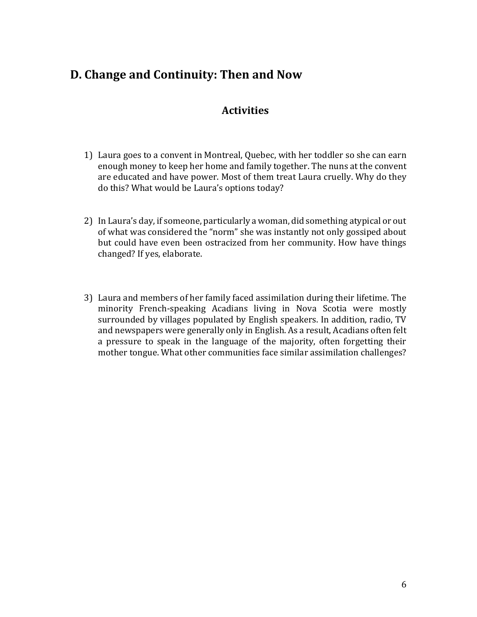### **D. Change and Continuity: Then and Now**

#### **Activities**

- 1) Laura goes to a convent in Montreal, Quebec, with her toddler so she can earn enough money to keep her home and family together. The nuns at the convent are educated and have power. Most of them treat Laura cruelly. Why do they do this? What would be Laura's options today?
- 2) In Laura's day, if someone, particularly a woman, did something atypical or out of what was considered the "norm" she was instantly not only gossiped about but could have even been ostracized from her community. How have things changed? If yes, elaborate.
- 3) Laura and members of her family faced assimilation during their lifetime. The minority French-speaking Acadians living in Nova Scotia were mostly surrounded by villages populated by English speakers. In addition, radio, TV and newspapers were generally only in English. As a result, Acadians often felt a pressure to speak in the language of the majority, often forgetting their mother tongue. What other communities face similar assimilation challenges?